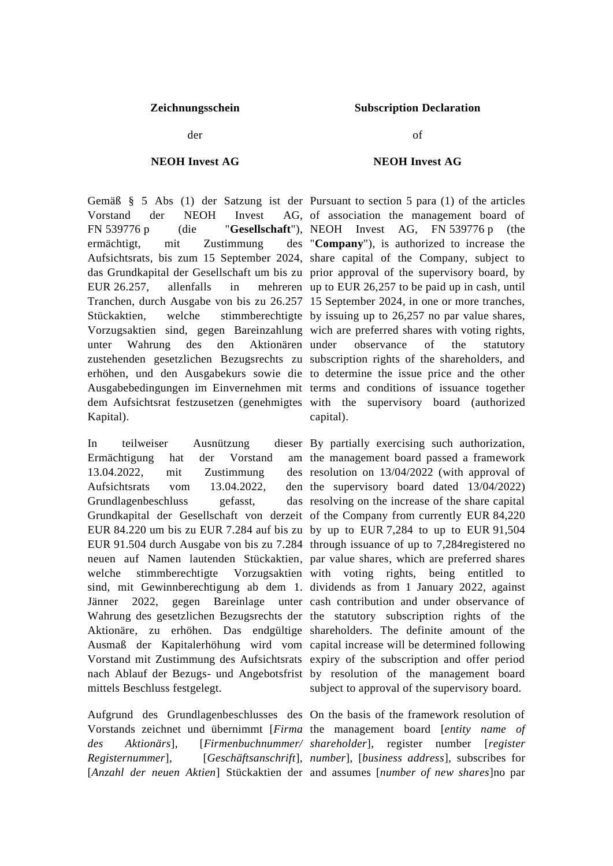der

## **NEOH Invest AG**

Vorstand der NEOH Invest FN 539776 p (die "**Gesellschaft**"), NEOH Invest AG, FN 539776 p (the ermächtigt, mit Zustimmung Aufsichtsrats, bis zum 15 September 2024, share capital of the Company, subject to das Grundkapital der Gesellschaft um bis zu prior approval of the supervisory board, by EUR  $26.257$ , allenfalls in Tranchen, durch Ausgabe von bis zu 26.257 15 September 2024, in one or more tranches, Stückaktien, welche stimmberechtigte by issuing up to 26,257 no par value shares, Vorzugsaktien sind, gegen Bareinzahlung wich are preferred shares with voting rights, unter Wahrung des den Aktionären zustehenden gesetzlichen Bezugsrechts zu subscription rights of the shareholders, and erhöhen, und den Ausgabekurs sowie die to determine the issue price and the other Ausgabebedingungen im Einvernehmen mit terms and conditions of issuance together dem Aufsichtsrat festzusetzen (genehmigtes with the supervisory board (authorized Kapital).

In teilweiser Ausnützung Ermächtigung hat der Vorstand  $13.04.2022$ , mit Zustimmung Aufsichtsrats vom 13.04.2022, Grundlagenbeschluss gefasst, Grundkapital der Gesellschaft von derzeit of the Company from currently EUR 84,220 EUR 84.220 um bis zu EUR 7.284 auf bis zu by up to EUR 7,284 to up to EUR 91,504 EUR 91.504 durch Ausgabe von bis zu 7.284 through issuance of up to 7,284registered no neuen auf Namen lautenden Stückaktien, par value shares, which are preferred shares welche stimmberechtigte Vorzugsaktien with voting rights, being entitled to sind, mit Gewinnberechtigung ab dem 1. dividends as from 1 January 2022, against Jänner 2022, gegen Bareinlage unter cash contribution and under observance of Wahrung des gesetzlichen Bezugsrechts der the statutory subscription rights of the Aktionäre, zu erhöhen. Das endgültige shareholders. The definite amount of the Ausmaß der Kapitalerhöhung wird vom capital increase will be determined following Vorstand mit Zustimmung des Aufsichtsrats expiry of the subscription and offer period nach Ablauf der Bezugs- und Angebotsfrist by resolution of the management board mittels Beschluss festgelegt.

Aufgrund des Grundlagenbeschlusses des On the basis of the framework resolution of [*Anzahl der neuen Aktien*] Stückaktien der and assumes [*number of new shares*]no par

## **Zeichnungsschein Subscription Declaration**

of

## **NEOH Invest AG**

Gemäß § 5 Abs (1) der Satzung ist der Pursuant to section 5 para (1) of the articles AG, of association the management board of "**Company**"), is authorized to increase the mehreren up to EUR 26,257 to be paid up in cash, until observance of the statutory capital).

> dieser By partially exercising such authorization, am the management board passed a framework des resolution on  $13/04/2022$  (with approval of den the supervisory board dated 13/04/2022) das resolving on the increase of the share capital subject to approval of the supervisory board.

Vorstands zeichnet und übernimmt [*Firma* the management board [*entity name of des Aktionärs*], [*Firmenbuchnummer/ shareholder*], register number [*register Registernummer*], [*Geschäftsanschrift*], *number*], [*business address*], subscribes for